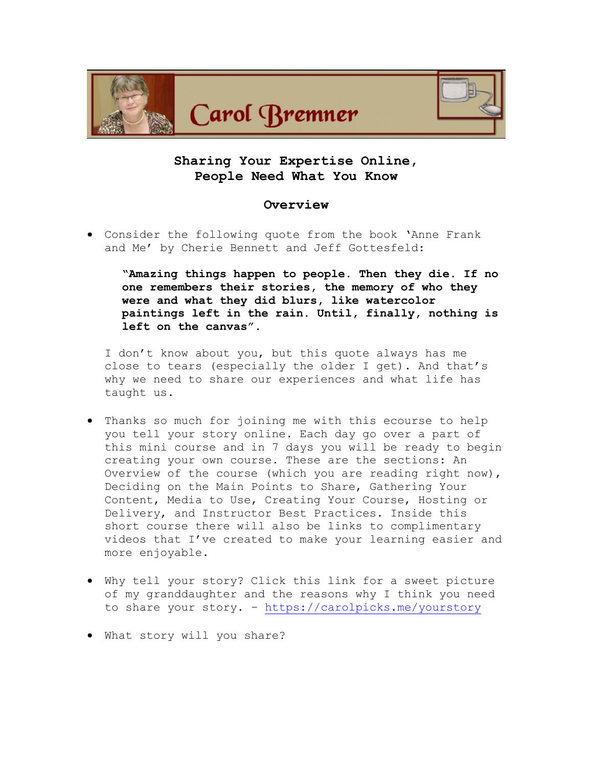

# **Sharing Your Expertise Online, People Need What You Know**

## **Overview**

• Consider the following quote from the book 'Anne Frank and Me' by Cherie Bennett and Jeff Gottesfeld:

**"Amazing things happen to people. Then they die. If no one remembers their stories, the memory of who they were and what they did blurs, like watercolor paintings left in the rain. Until, finally, nothing is left on the canvas".**

I don't know about you, but this quote always has me close to tears (especially the older I get). And that's why we need to share our experiences and what life has taught us.

- Thanks so much for joining me with this ecourse to help you tell your story online. Each day go over a part of this mini course and in 7 days you will be ready to begin creating your own course. These are the sections: An Overview of the course (which you are reading right now), Deciding on the Main Points to Share, Gathering Your Content, Media to Use, Creating Your Course, Hosting or Delivery, and Instructor Best Practices. Inside this short course there will also be links to complimentary videos that I've created to make your learning easier and more enjoyable.
- Why tell your story? Click this link for a sweet picture of my granddaughter and the reasons why I think you need to share your story. – <https://carolpicks.me/yourstory>
- What story will you share?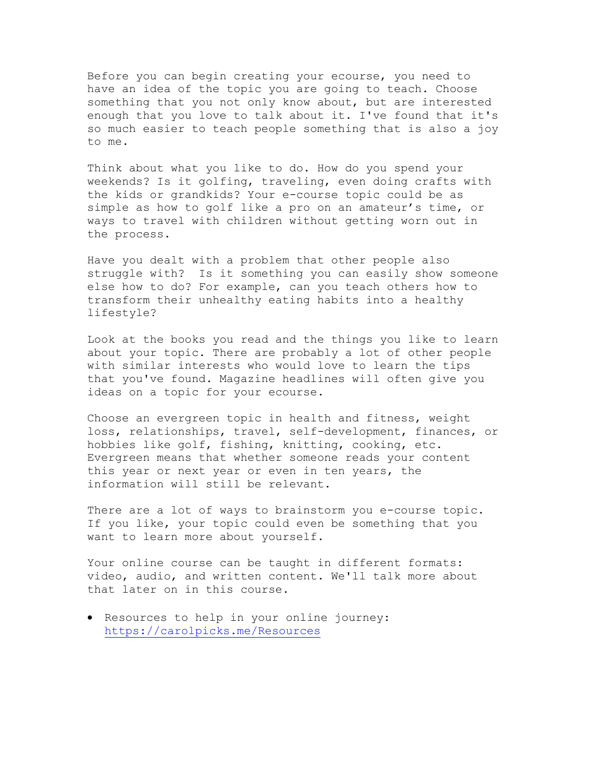Before you can begin creating your ecourse, you need to have an idea of the topic you are going to teach. Choose something that you not only know about, but are interested enough that you love to talk about it. I've found that it's so much easier to teach people something that is also a joy to me.

Think about what you like to do. How do you spend your weekends? Is it golfing, traveling, even doing crafts with the kids or grandkids? Your e-course topic could be as simple as how to golf like a pro on an amateur's time, or ways to travel with children without getting worn out in the process.

Have you dealt with a problem that other people also struggle with? Is it something you can easily show someone else how to do? For example, can you teach others how to transform their unhealthy eating habits into a healthy lifestyle?

Look at the books you read and the things you like to learn about your topic. There are probably a lot of other people with similar interests who would love to learn the tips that you've found. Magazine headlines will often give you ideas on a topic for your ecourse.

Choose an evergreen topic in health and fitness, weight loss, relationships, travel, self-development, finances, or hobbies like golf, fishing, knitting, cooking, etc. Evergreen means that whether someone reads your content this year or next year or even in ten years, the information will still be relevant.

There are a lot of ways to brainstorm you e-course topic. If you like, your topic could even be something that you want to learn more about yourself.

Your online course can be taught in different formats: video, audio, and written content. We'll talk more about that later on in this course.

• Resources to help in your online journey: <https://carolpicks.me/Resources>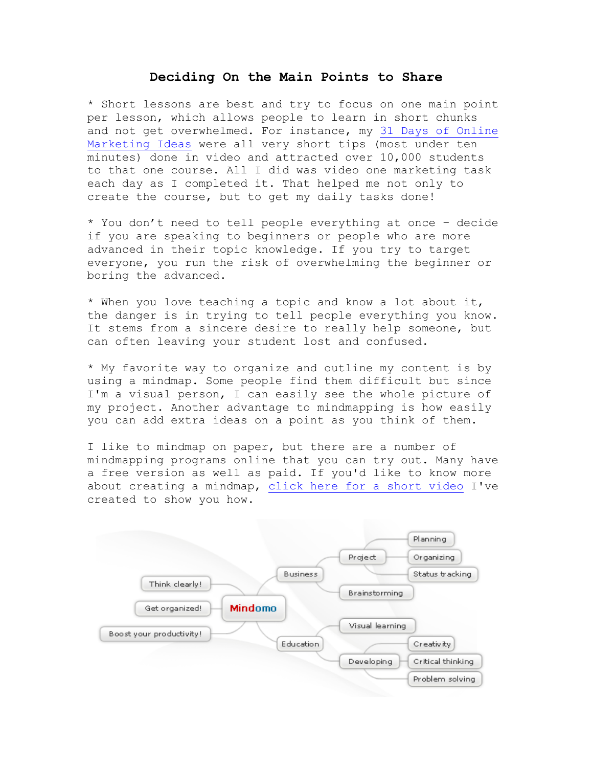## **Deciding On the Main Points to Share**

\* Short lessons are best and try to focus on one main point per lesson, which allows people to learn in short chunks and not get overwhelmed. For instance, my [31 Days of Online](https://carolpicks.me/31Days)  [Marketing Ideas](https://carolpicks.me/31Days) were all very short tips (most under ten minutes) done in video and attracted over 10,000 students to that one course. All I did was video one marketing task each day as I completed it. That helped me not only to create the course, but to get my daily tasks done!

\* You don't need to tell people everything at once – decide if you are speaking to beginners or people who are more advanced in their topic knowledge. If you try to target everyone, you run the risk of overwhelming the beginner or boring the advanced.

\* When you love teaching a topic and know a lot about it, the danger is in trying to tell people everything you know. It stems from a sincere desire to really help someone, but can often leaving your student lost and confused.

\* My favorite way to organize and outline my content is by using a mindmap. Some people find them difficult but since I'm a visual person, I can easily see the whole picture of my project. Another advantage to mindmapping is how easily you can add extra ideas on a point as you think of them.

I like to mindmap on paper, but there are a number of mindmapping programs online that you can try out. Many have a free version as well as paid. If you'd like to know more about creating a mindmap, [click here for a short video](https://youtu.be/tk0QoQcm3FM) I've created to show you how.

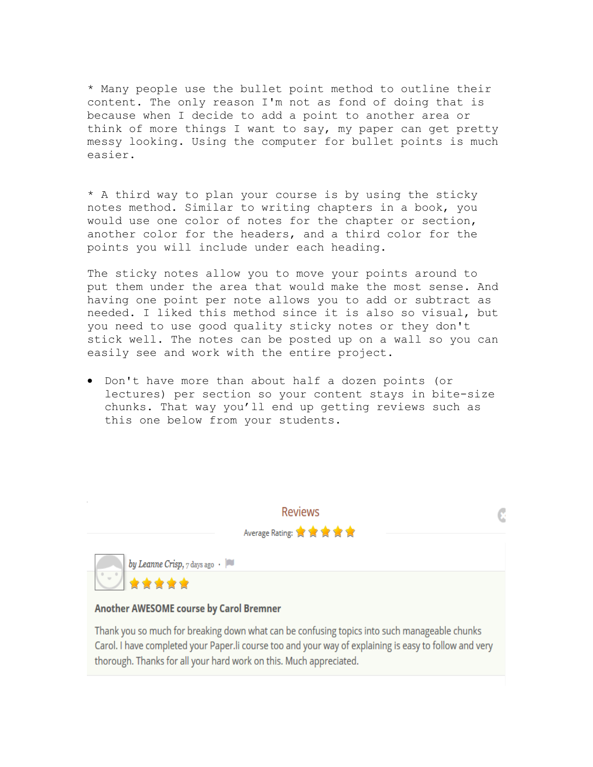\* Many people use the bullet point method to outline their content. The only reason I'm not as fond of doing that is because when I decide to add a point to another area or think of more things I want to say, my paper can get pretty messy looking. Using the computer for bullet points is much easier.

\* A third way to plan your course is by using the sticky notes method. Similar to writing chapters in a book, you would use one color of notes for the chapter or section, another color for the headers, and a third color for the points you will include under each heading.

The sticky notes allow you to move your points around to put them under the area that would make the most sense. And having one point per note allows you to add or subtract as needed. I liked this method since it is also so visual, but you need to use good quality sticky notes or they don't stick well. The notes can be posted up on a wall so you can easily see and work with the entire project.

• Don't have more than about half a dozen points (or lectures) per section so your content stays in bite-size chunks. That way you'll end up getting reviews such as this one below from your students.



Thank you so much for breaking down what can be confusing topics into such manageable chunks Carol. I have completed your Paper. li course too and your way of explaining is easy to follow and very thorough. Thanks for all your hard work on this. Much appreciated.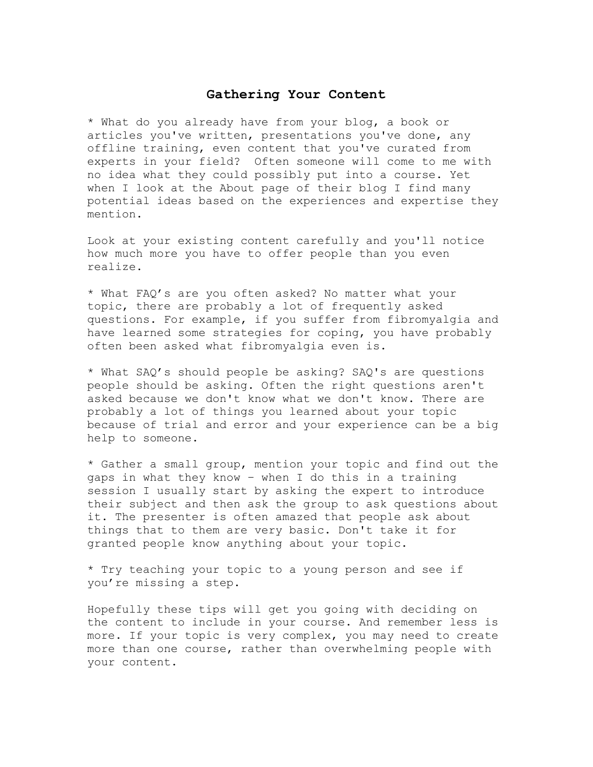## **Gathering Your Content**

\* What do you already have from your blog, a book or articles you've written, presentations you've done, any offline training, even content that you've curated from experts in your field? Often someone will come to me with no idea what they could possibly put into a course. Yet when I look at the About page of their blog I find many potential ideas based on the experiences and expertise they mention.

Look at your existing content carefully and you'll notice how much more you have to offer people than you even realize.

\* What FAQ's are you often asked? No matter what your topic, there are probably a lot of frequently asked questions. For example, if you suffer from fibromyalgia and have learned some strategies for coping, you have probably often been asked what fibromyalgia even is.

\* What SAQ's should people be asking? SAQ's are questions people should be asking. Often the right questions aren't asked because we don't know what we don't know. There are probably a lot of things you learned about your topic because of trial and error and your experience can be a big help to someone.

\* Gather a small group, mention your topic and find out the gaps in what they know – when I do this in a training session I usually start by asking the expert to introduce their subject and then ask the group to ask questions about it. The presenter is often amazed that people ask about things that to them are very basic. Don't take it for granted people know anything about your topic.

\* Try teaching your topic to a young person and see if you're missing a step.

Hopefully these tips will get you going with deciding on the content to include in your course. And remember less is more. If your topic is very complex, you may need to create more than one course, rather than overwhelming people with your content.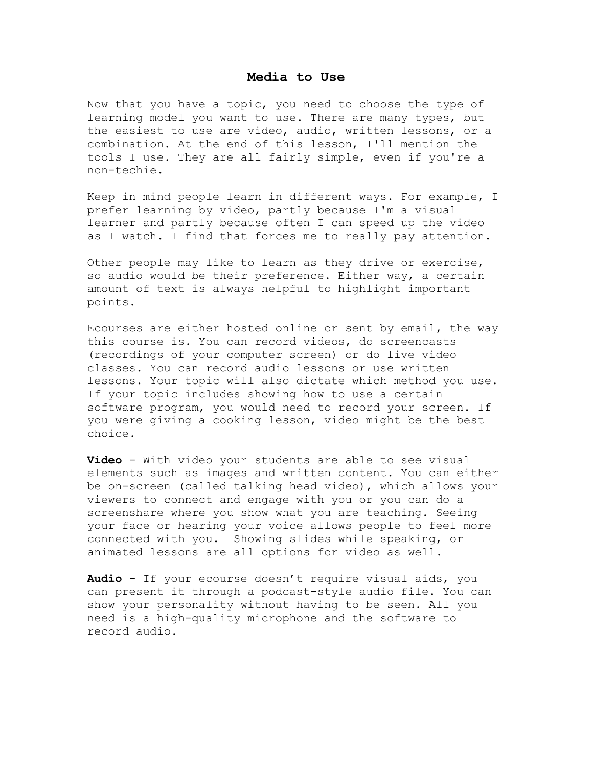#### **Media to Use**

Now that you have a topic, you need to choose the type of learning model you want to use. There are many types, but the easiest to use are video, audio, written lessons, or a combination. At the end of this lesson, I'll mention the tools I use. They are all fairly simple, even if you're a non-techie.

Keep in mind people learn in different ways. For example, I prefer learning by video, partly because I'm a visual learner and partly because often I can speed up the video as I watch. I find that forces me to really pay attention.

Other people may like to learn as they drive or exercise, so audio would be their preference. Either way, a certain amount of text is always helpful to highlight important points.

Ecourses are either hosted online or sent by email, the way this course is. You can record videos, do screencasts (recordings of your computer screen) or do live video classes. You can record audio lessons or use written lessons. Your topic will also dictate which method you use. If your topic includes showing how to use a certain software program, you would need to record your screen. If you were giving a cooking lesson, video might be the best choice.

**Video** - With video your students are able to see visual elements such as images and written content. You can either be on-screen (called talking head video), which allows your viewers to connect and engage with you or you can do a screenshare where you show what you are teaching. Seeing your face or hearing your voice allows people to feel more connected with you. Showing slides while speaking, or animated lessons are all options for video as well.

**Audio** - If your ecourse doesn't require visual aids, you can present it through a podcast-style audio file. You can show your personality without having to be seen. All you need is a high-quality microphone and the software to record audio.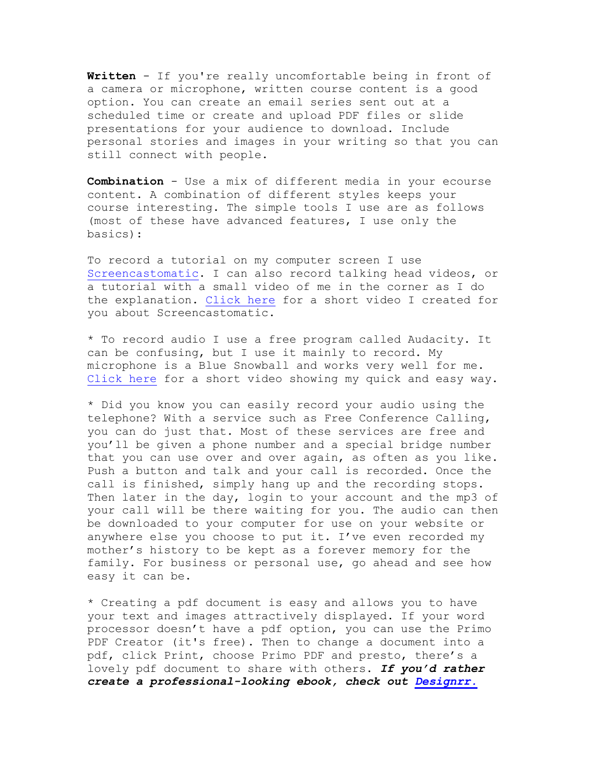**Written** - If you're really uncomfortable being in front of a camera or microphone, written course content is a good option. You can create an email series sent out at a scheduled time or create and upload PDF files or slide presentations for your audience to download. Include personal stories and images in your writing so that you can still connect with people.

**Combination** - Use a mix of different media in your ecourse content. A combination of different styles keeps your course interesting. The simple tools I use are as follows (most of these have advanced features, I use only the basics):

To record a tutorial on my computer screen I use [Screencastomatic.](https://screencast-o-matic.com/) I can also record talking head videos, or a tutorial with a small video of me in the corner as I do the explanation. [Click here](https://youtu.be/cCXKMuohxM4) for a short video I created for you about Screencastomatic.

\* To record audio I use a free program called Audacity. It can be confusing, but I use it mainly to record. My microphone is a Blue Snowball and works very well for me. [Click here](https://youtu.be/VoQObsgj3ZU) for a short video showing my quick and easy way.

\* Did you know you can easily record your audio using the telephone? With a service such as Free Conference Calling, you can do just that. Most of these services are free and you'll be given a phone number and a special bridge number that you can use over and over again, as often as you like. Push a button and talk and your call is recorded. Once the call is finished, simply hang up and the recording stops. Then later in the day, login to your account and the mp3 of your call will be there waiting for you. The audio can then be downloaded to your computer for use on your website or anywhere else you choose to put it. I've even recorded my mother's history to be kept as a forever memory for the family. For business or personal use, go ahead and see how easy it can be.

\* Creating a pdf document is easy and allows you to have your text and images attractively displayed. If your word processor doesn't have a pdf option, you can use the Primo PDF Creator (it's free). Then to change a document into a pdf, click Print, choose Primo PDF and presto, there's a lovely pdf document to share with others. *If you'd rather create a professional-looking ebook, check out [Designrr.](https://carolpicks.me/Designrr)*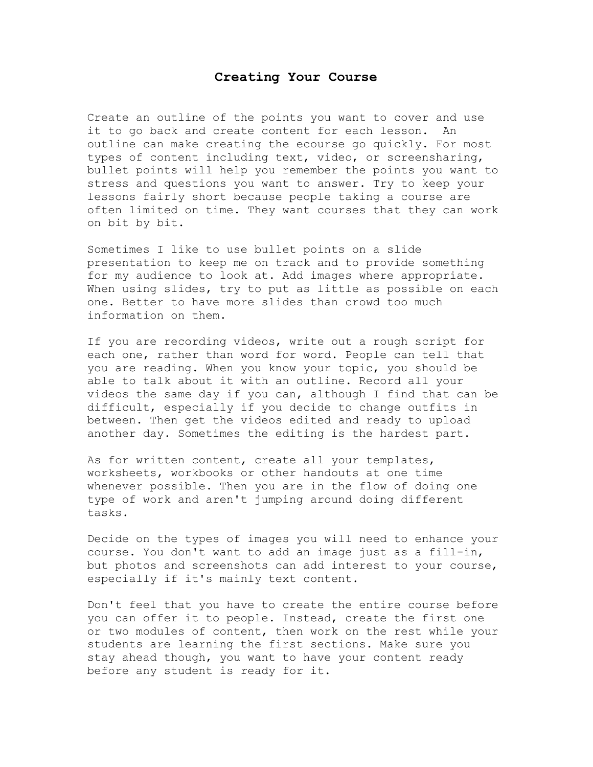## **Creating Your Course**

Create an outline of the points you want to cover and use it to go back and create content for each lesson. An outline can make creating the ecourse go quickly. For most types of content including text, video, or screensharing, bullet points will help you remember the points you want to stress and questions you want to answer. Try to keep your lessons fairly short because people taking a course are often limited on time. They want courses that they can work on bit by bit.

Sometimes I like to use bullet points on a slide presentation to keep me on track and to provide something for my audience to look at. Add images where appropriate. When using slides, try to put as little as possible on each one. Better to have more slides than crowd too much information on them.

If you are recording videos, write out a rough script for each one, rather than word for word. People can tell that you are reading. When you know your topic, you should be able to talk about it with an outline. Record all your videos the same day if you can, although I find that can be difficult, especially if you decide to change outfits in between. Then get the videos edited and ready to upload another day. Sometimes the editing is the hardest part.

As for written content, create all your templates, worksheets, workbooks or other handouts at one time whenever possible. Then you are in the flow of doing one type of work and aren't jumping around doing different tasks.

Decide on the types of images you will need to enhance your course. You don't want to add an image just as a fill-in, but photos and screenshots can add interest to your course, especially if it's mainly text content.

Don't feel that you have to create the entire course before you can offer it to people. Instead, create the first one or two modules of content, then work on the rest while your students are learning the first sections. Make sure you stay ahead though, you want to have your content ready before any student is ready for it.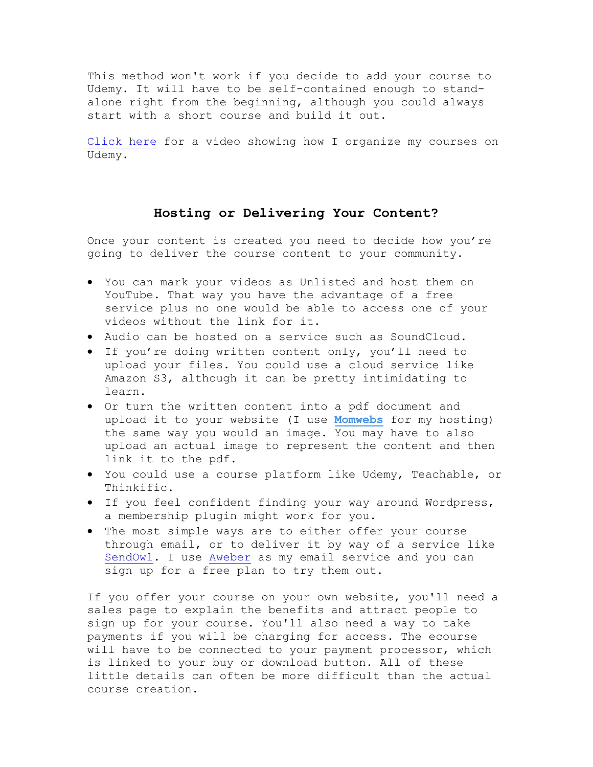This method won't work if you decide to add your course to Udemy. It will have to be self-contained enough to standalone right from the beginning, although you could always start with a short course and build it out.

[Click here](https://youtu.be/4Y94TrUUA60) for a video showing how I organize my courses on Udemy.

## **Hosting or Delivering Your Content?**

Once your content is created you need to decide how you're going to deliver the course content to your community.

- You can mark your videos as Unlisted and host them on YouTube. That way you have the advantage of a free service plus no one would be able to access one of your videos without the link for it.
- Audio can be hosted on a service such as SoundCloud.
- If you're doing written content only, you'll need to upload your files. You could use a cloud service like Amazon S3, although it can be pretty intimidating to learn.
- Or turn the written content into a pdf document and upload it to your website (I use **[Momwebs](https://carolpicks.me/hosting)** for my hosting) the same way you would an image. You may have to also upload an actual image to represent the content and then link it to the pdf.
- You could use a course platform like Udemy, Teachable, or Thinkific.
- If you feel confident finding your way around Wordpress, a membership plugin might work for you.
- The most simple ways are to either offer your course through email, or to deliver it by way of a service like [SendOwl.](https://carolpicks.me/Sendowl) I use [Aweber](https://carolpicks.me/email) as my email service and you can sign up for a free plan to try them out.

If you offer your course on your own website, you'll need a sales page to explain the benefits and attract people to sign up for your course. You'll also need a way to take payments if you will be charging for access. The ecourse will have to be connected to your payment processor, which is linked to your buy or download button. All of these little details can often be more difficult than the actual course creation.